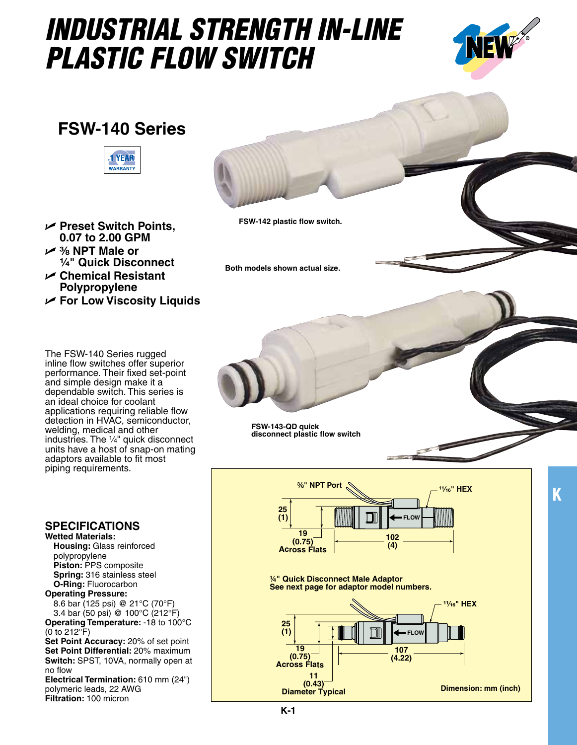## *INDUSTRIAL STRENGTH IN-LINE PLASTIC FLOW SWITCH*



## **FSW-140 Series**



- U **Preset Switch Points, 0.07 to 2.00 GPM**
- U **³⁄₈ NPT Male or ¹⁄₄" Quick Disconnect**
- U **Chemical Resistant Polypropylene**
- U **For Low Viscosity Liquids**

The FSW-140 Series rugged inline flow switches offer superior performance. Their fixed set-point and simple design make it a dependable switch. This series is an ideal choice for coolant applications requiring reliable flow detection in HVAC, semiconductor, welding, medical and other industries. The  $\frac{1}{4}$ " quick disconnect units have a host of snap-on mating adaptors available to fit most piping requirements.

## **Specifications**

**Wetted Materials: Housing:** Glass reinforced polypropylene **Piston:** PPS composite  **Spring:** 316 stainless steel  **O-Ring:** Fluorocarbon

**Operating Pressure:**  8.6 bar (125 psi) @ 21°C (70°F) 3.4 bar (50 psi) @ 100°C (212°F) **Operating Temperature:** -18 to 100°C

(0 to 212°F) **Set Point Accuracy: 20% of set point** 

**Set Point Differential:** 20% maximum **Switch:** SPST, 10VA, normally open at no flow

**Electrical Termination:** 610 mm (24") polymeric leads, 22 AWG **Filtration:** 100 micron



**Both models shown actual size.**

**25**

**19 (0.75) Across Flats**

**FSW-143-QD quick disconnect plastic flow switch (0.43)** mote plastic now

**¼" Quick Disconnect Male Adaptor See next page for adaptor model numbers.**



**K**